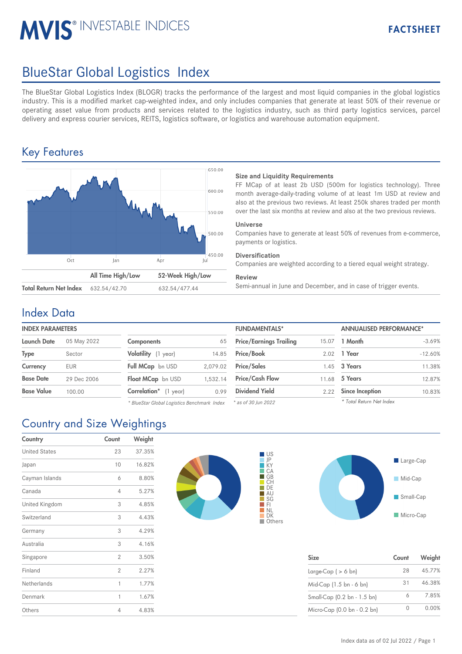# **MVIS® INVESTABLE INDICES**

# BlueStar Global Logistics Index

The BlueStar Global Logistics Index (BLOGR) tracks the performance of the largest and most liquid companies in the global logistics industry. This is a modified market cap-weighted index, and only includes companies that generate at least 50% of their revenue or operating asset value from products and services related to the logistics industry, such as third party logistics services, parcel delivery and express courier services, REITS, logistics software, or logistics and warehouse automation equipment.

## Key Features



### **Size and Liquidity Requirements**

FF MCap of at least 2b USD (500m for logistics technology). Three month average-daily-trading volume of at least 1m USD at review and also at the previous two reviews. At least 250k shares traded per month over the last six months at review and also at the two previous reviews.

### **Universe**

Companies have to generate at least 50% of revenues from e-commerce, payments or logistics.

#### **Diversification**

Companies are weighted according to a tiered equal weight strategy.

#### **Review**

632.54/42.70 632.54/477.44 Semi-annual in June and December, and in case of trigger events.

### Index Data

| <b>INDEX PARAMETERS</b> |             |                            |          | <b>FUNDAMENTALS*</b>           |       | <b>ANNUALISED PERFORMANCE*</b> |  |
|-------------------------|-------------|----------------------------|----------|--------------------------------|-------|--------------------------------|--|
| <b>Launch Date</b>      | 05 May 2022 | <b>Components</b>          | 65       | <b>Price/Earnings Trailing</b> | 15.07 | 1 Month                        |  |
| <b>Type</b>             | Sector      | Volatility (1 year)        | 14.85    | <b>Price/Book</b>              |       | 2.02 1 Year                    |  |
| Currency                | <b>EUR</b>  | Full MCap bn USD           | 2.079.02 | <b>Price/Sales</b>             |       | $.45$ 3 Years                  |  |
| <b>Base Date</b>        | 29 Dec 2006 | Float MCap bn USD          | 1.532.14 | <b>Price/Cash Flow</b>         |       | 11.68 5 Years                  |  |
| <b>Base Value</b>       | 100.00      | Correlation*<br>$(1$ year) | 0.99     | <b>Dividend Yield</b>          | 2.22  | <b>Since Inception</b>         |  |

*\* BlueStar Global Logistics Benchmark Index*

| <b>FUNDAMENTALS*</b>           |       | <b>ANNUALISED PERFORMANCE*</b> |           |  |
|--------------------------------|-------|--------------------------------|-----------|--|
| <b>Price/Earnings Trailing</b> | 15.07 | 1 Month                        | $-3.69%$  |  |
| Price/Book                     | 2.02  | 1 Year                         | $-12.60%$ |  |
| <b>Price/Sales</b>             |       | 1.45 3 Years                   | 11.38%    |  |
| <b>Price/Cash Flow</b>         | 11.68 | 5 Years                        | 12.87%    |  |
| <b>Dividend Yield</b>          | 2.22  | <b>Since Inception</b>         | 10.83%    |  |
| * as of 30 lun 2022            |       | * Total Return Net Index       |           |  |

*\* as of 30 Jun 2022*

| Country and Size Weightings |  |  |  |
|-----------------------------|--|--|--|
|                             |  |  |  |

| Country              | Count          | Weight |
|----------------------|----------------|--------|
| <b>United States</b> | 23             | 37.35% |
| Japan                | 10             | 16.82% |
| Cayman Islands       | 6              | 8.80%  |
| Canada               | 4              | 5.27%  |
| United Kingdom       | 3              | 4.85%  |
| Switzerland          | 3              | 4.43%  |
| Germany              | 3              | 4.29%  |
| Australia            | 3              | 4.16%  |
| Singapore            | $\overline{2}$ | 3.50%  |
| Finland              | $\overline{2}$ | 2.27%  |
| Netherlands          | 1              | 1.77%  |
| Denmark              | 1              | 1.67%  |
| Others               | 4              | 4.83%  |





| <b>Size</b>                 | Count | Weight |
|-----------------------------|-------|--------|
| Large-Cap $( > 6$ bn)       | 28    | 45.77% |
| Mid-Cap (1.5 bn - 6 bn)     | 31    | 46.38% |
| Small-Cap (0.2 bn - 1.5 bn) | 6     | 7.85%  |
| Micro-Cap (0.0 bn - 0.2 bn) |       | 0.00%  |